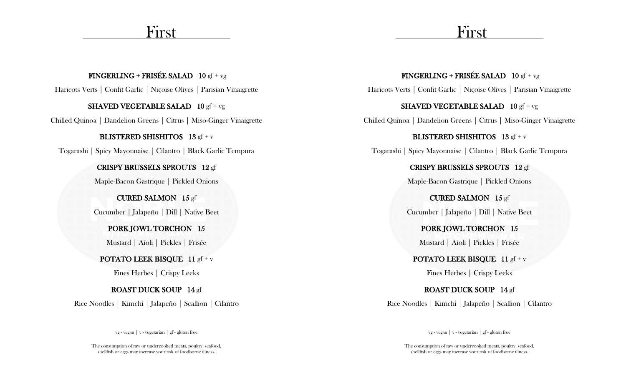# First

## FINGERLING + FRISÉE SALAD 10 gf + vg

Haricots Verts | Confit Garlic | Niçoise Olives | Parisian Vinaigrette

#### **SHAVED VEGETABLE SALAD**  $10 \text{ gf} + \text{vg}$

Chilled Quinoa | Dandelion Greens | Citrus | Miso-Ginger Vinaigrette

#### BLISTERED SHISHITOS 13 gf + v

Togarashi | Spicy Mayonnaise | Cilantro | Black Garlic Tempura

### CRISPY BRUSSELS SPROUTS 12 gf

Maple-Bacon Gastrique | Pickled Onions

## CURED SALMON 15 gf

Cucumber | Jalapeño | Dill | Native Beet

# PORK JOWL TORCHON 15

Mustard | Aïoli | Pickles | Frisée

# POTATO LEEK BISQUE 11 gf + v

Fines Herbes | Crispy Leeks

# ROAST DUCK SOUP 14 gf

Rice Noodles | Kimchi | Jalapeño | Scallion | Cilantro

vg - vegan | v - vegetarian | gf - gluten free

The consumption of raw or undercooked meats, poultry, seafood, shellfish or eggs may increase your risk of foodborne illness.